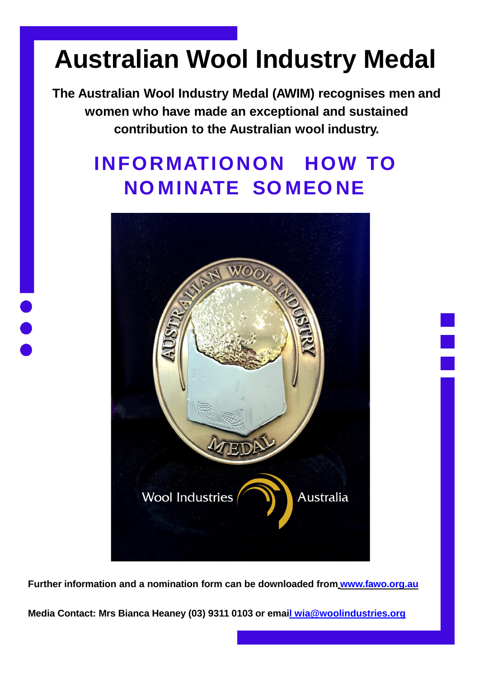# **Australian Wool Industry Medal**

**The Australian Wool Industry Medal (AWIM) recognises men and women who have made an exceptional and sustained contribution to the Australian wool industry.**

### **INFORMATIONON HOW TO NO MINATE SO MEO NE**



**Further information and a nomination form can be downloaded from [www.fawo.org.au](http://www.fawo.org.au/)**

**Media Contact: Mrs Bianca Heaney (03) 9311 0103 or email [wia@woolindustries.org](mailto:wia@woolindustries.org)**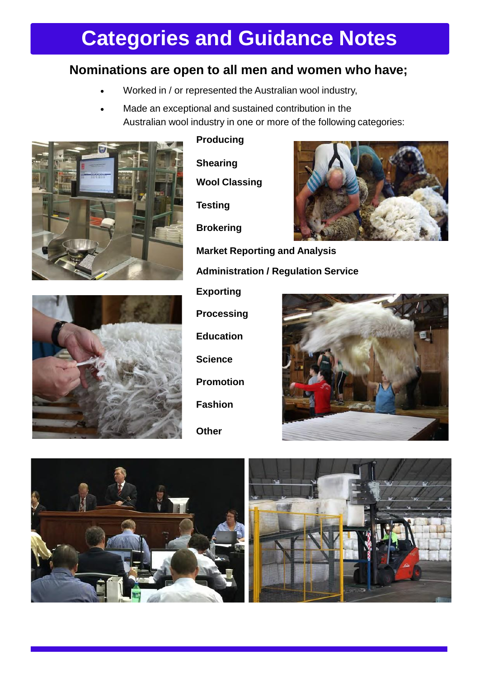## **Categories and Guidance Notes**

### **Nominations are open to all men and women who have;**

- Worked in / or represented the Australian wool industry,
- Made an exceptional and sustained contribution in the Australian wool industry in one or more of the following categories:

**Administration / Regulation Service** 



#### **Producing**

**Shearing Wool Classing** 

**Testing** 

**Brokering**





**Exporting Processing Education Science Promotion Fashion Other**